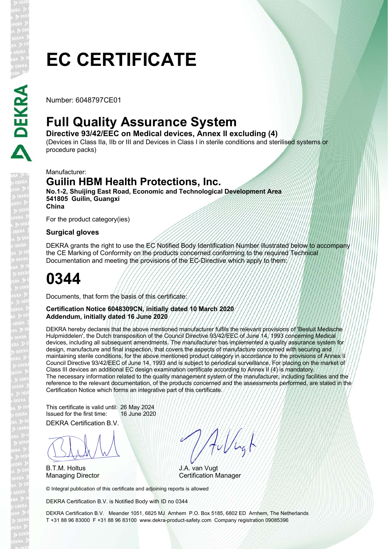Number: 6048797CE01

## **Full Quality Assurance System**

**Directive 93/42/EEC on Medical devices, Annex II excluding (4)**  (Devices in Class IIa, IIb or III and Devices in Class I in sterile conditions and sterilised systems or procedure packs)

Manufacturer:

DEKRA

### **Guilin HBM Health Protections, Inc.**

**No.1-2, Shuijing East Road, Economic and Technological Development Area 541805 Guilin, Guangxi China**

For the product category(ies)

#### **Surgical gloves**

DEKRA grants the right to use the EC Notified Body Identification Number illustrated below to accompany the CE Marking of Conformity on the products concerned conforming to the required Technical Documentation and meeting the provisions of the EC-Directive which apply to them:

# **0344**

Documents, that form the basis of this certificate:

#### **Certification Notice 6048309CN, initially dated 10 March 2020 Addendum, initially dated 16 June 2020**

DEKRA hereby declares that the above mentioned manufacturer fulfils the relevant provisions of 'Besluit Medische Hulpmiddelen', the Dutch transposition of the Council Directive 93/42/EEC of June 14, 1993 concerning Medical devices, including all subsequent amendments. The manufacturer has implemented a quality assurance system for design, manufacture and final inspection, that covers the aspects of manufacture concerned with securing and maintaining sterile conditions, for the above mentioned product category in accordance to the provisions of Annex II Council Directive 93/42/EEC of June 14, 1993 and is subject to periodical surveillance. For placing on the market of Class III devices an additional EC design examination certificate according to Annex II (4) is mandatory. The necessary information related to the quality management system of the manufacturer, including facilities and the reference to the relevant documentation, of the products concerned and the assessments performed, are stated in the Certification Notice which forms an integrative part of this certificate.

DEKRA Certification B.V. This certificate is valid until: 26 May 2024 Issued for the first time: 16 June 2020

BLAN

B.T.M. Holtus

Aullugh

J.A. van Vugt Managing Director **Certification Manager** 

© Integral publication of this certificate and adjoining reports is allowed

DEKRA Certification B.V. is Notified Body with ID no 0344

DEKRA Certification B.V. Meander 1051, 6825 MJ Arnhem P.O. Box 5185, 6802 ED Arnhem, The Netherlands T +31 88 96 83000 F +31 88 96 83100 www.dekra-product-safety.com Company registration 09085396